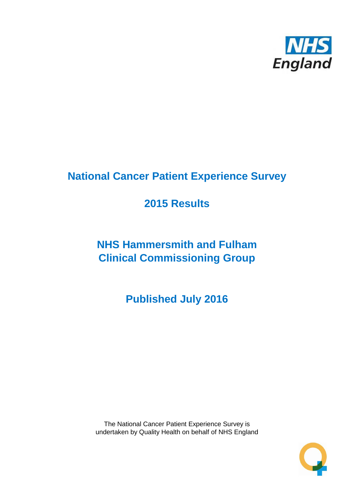

# **National Cancer Patient Experience Survey**

# **2015 Results**

# **NHS Hammersmith and Fulham Clinical Commissioning Group**

**Published July 2016**

The National Cancer Patient Experience Survey is undertaken by Quality Health on behalf of NHS England

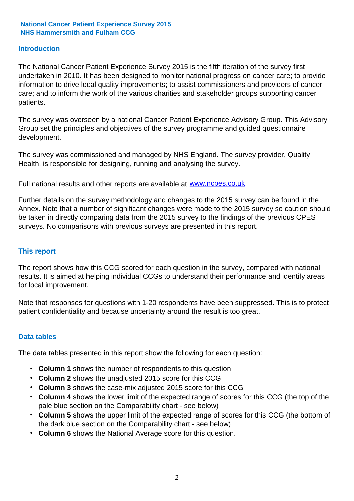### **Introduction**

The National Cancer Patient Experience Survey 2015 is the fifth iteration of the survey first undertaken in 2010. It has been designed to monitor national progress on cancer care; to provide information to drive local quality improvements; to assist commissioners and providers of cancer care; and to inform the work of the various charities and stakeholder groups supporting cancer patients.

The survey was overseen by a national Cancer Patient Experience Advisory Group. This Advisory Group set the principles and objectives of the survey programme and guided questionnaire development.

The survey was commissioned and managed by NHS England. The survey provider, Quality Health, is responsible for designing, running and analysing the survey.

Full national results and other reports are available at www.ncpes.co.uk

Further details on the survey methodology and changes to the 2015 survey can be found in the Annex. Note that a number of significant changes were made to the 2015 survey so caution should be taken in directly comparing data from the 2015 survey to the findings of the previous CPES surveys. No comparisons with previous surveys are presented in this report.

#### **This report**

The report shows how this CCG scored for each question in the survey, compared with national results. It is aimed at helping individual CCGs to understand their performance and identify areas for local improvement.

Note that responses for questions with 1-20 respondents have been suppressed. This is to protect patient confidentiality and because uncertainty around the result is too great.

#### **Data tables**

The data tables presented in this report show the following for each question:

- **Column 1** shows the number of respondents to this question
- **Column 2** shows the unadjusted 2015 score for this CCG
- **Column 3** shows the case-mix adjusted 2015 score for this CCG
- **Column 4** shows the lower limit of the expected range of scores for this CCG (the top of the pale blue section on the Comparability chart - see below)
- **Column 5** shows the upper limit of the expected range of scores for this CCG (the bottom of the dark blue section on the Comparability chart - see below)
- **Column 6** shows the National Average score for this question.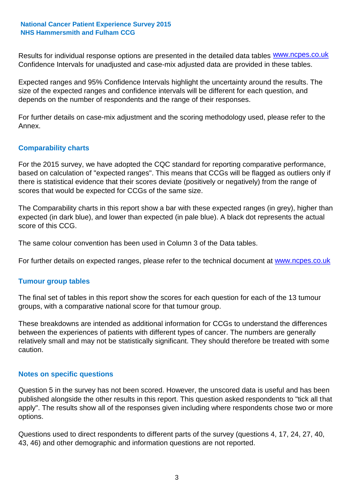Results for individual response options are presented in the detailed data tables **WWW.ncpes.co.uk** Confidence Intervals for unadjusted and case-mix adjusted data are provided in these tables.

Expected ranges and 95% Confidence Intervals highlight the uncertainty around the results. The size of the expected ranges and confidence intervals will be different for each question, and depends on the number of respondents and the range of their responses.

For further details on case-mix adjustment and the scoring methodology used, please refer to the Annex.

### **Comparability charts**

For the 2015 survey, we have adopted the CQC standard for reporting comparative performance, based on calculation of "expected ranges". This means that CCGs will be flagged as outliers only if there is statistical evidence that their scores deviate (positively or negatively) from the range of scores that would be expected for CCGs of the same size.

The Comparability charts in this report show a bar with these expected ranges (in grey), higher than expected (in dark blue), and lower than expected (in pale blue). A black dot represents the actual score of this CCG.

The same colour convention has been used in Column 3 of the Data tables.

For further details on expected ranges, please refer to the technical document at **www.ncpes.co.uk** 

#### **Tumour group tables**

The final set of tables in this report show the scores for each question for each of the 13 tumour groups, with a comparative national score for that tumour group.

These breakdowns are intended as additional information for CCGs to understand the differences between the experiences of patients with different types of cancer. The numbers are generally relatively small and may not be statistically significant. They should therefore be treated with some caution.

#### **Notes on specific questions**

Question 5 in the survey has not been scored. However, the unscored data is useful and has been published alongside the other results in this report. This question asked respondents to "tick all that apply". The results show all of the responses given including where respondents chose two or more options.

Questions used to direct respondents to different parts of the survey (questions 4, 17, 24, 27, 40, 43, 46) and other demographic and information questions are not reported.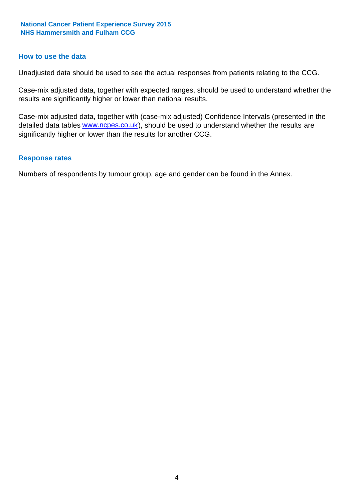#### **How to use the data**

Unadjusted data should be used to see the actual responses from patients relating to the CCG.

Case-mix adjusted data, together with expected ranges, should be used to understand whether the results are significantly higher or lower than national results.

Case-mix adjusted data, together with (case-mix adjusted) Confidence Intervals (presented in the detailed data tables **www.ncpes.co.uk**), should be used to understand whether the results are significantly higher or lower than the results for another CCG.

### **Response rates**

Numbers of respondents by tumour group, age and gender can be found in the Annex.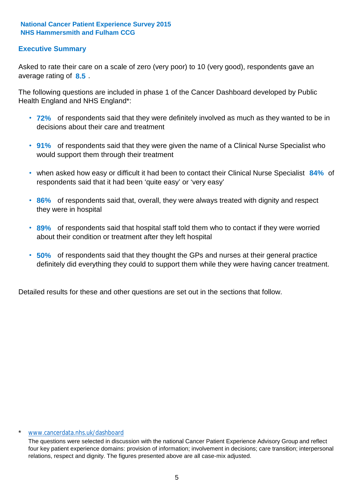### **Executive Summary**

average rating of 8.5. Asked to rate their care on a scale of zero (very poor) to 10 (very good), respondents gave an

The following questions are included in phase 1 of the Cancer Dashboard developed by Public Health England and NHS England\*:

- **72%** of respondents said that they were definitely involved as much as they wanted to be in decisions about their care and treatment
- **91%** of respondents said that they were given the name of a Clinical Nurse Specialist who would support them through their treatment
- when asked how easy or difficult it had been to contact their Clinical Nurse Specialist 84% of respondents said that it had been 'quite easy' or 'very easy'
- **86%** of respondents said that, overall, they were always treated with dignity and respect they were in hospital
- **89%** of respondents said that hospital staff told them who to contact if they were worried about their condition or treatment after they left hospital
- **50%** of respondents said that they thought the GPs and nurses at their general practice definitely did everything they could to support them while they were having cancer treatment.

Detailed results for these and other questions are set out in the sections that follow.

#### \* www.cancerdata.nhs.uk/dashboard

The questions were selected in discussion with the national Cancer Patient Experience Advisory Group and reflect four key patient experience domains: provision of information; involvement in decisions; care transition; interpersonal relations, respect and dignity. The figures presented above are all case-mix adjusted.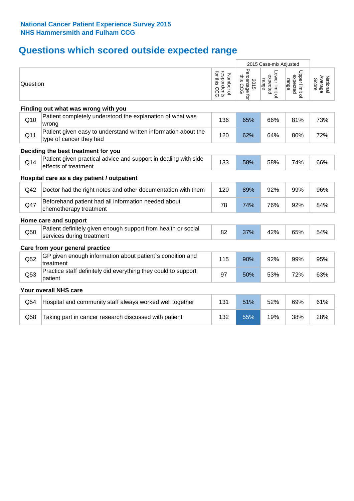# **Questions which scored outside expected range**

|          |                                                                                            |                                          | 2015 Case-mix Adjusted             |                                     |                                     |                              |
|----------|--------------------------------------------------------------------------------------------|------------------------------------------|------------------------------------|-------------------------------------|-------------------------------------|------------------------------|
| Question |                                                                                            | respondents<br>for this CCG<br>Number of | Percentage for<br>this CCG<br>2015 | Lower limit of<br>expected<br>range | Upper limit o'<br>expected<br>range | Average<br>National<br>Score |
|          | Finding out what was wrong with you                                                        |                                          |                                    |                                     |                                     |                              |
| Q10      | Patient completely understood the explanation of what was<br>wrong                         | 136                                      | 65%                                | 66%                                 | 81%                                 | 73%                          |
| Q11      | Patient given easy to understand written information about the<br>type of cancer they had  | 120                                      | 62%                                | 64%                                 | 80%                                 | 72%                          |
|          | Deciding the best treatment for you                                                        |                                          |                                    |                                     |                                     |                              |
| Q14      | Patient given practical advice and support in dealing with side<br>effects of treatment    | 133                                      | 58%                                | 58%                                 | 74%                                 | 66%                          |
|          | Hospital care as a day patient / outpatient                                                |                                          |                                    |                                     |                                     |                              |
| Q42      | Doctor had the right notes and other documentation with them                               | 120                                      | 89%                                | 92%                                 | 99%                                 | 96%                          |
| Q47      | Beforehand patient had all information needed about<br>chemotherapy treatment              | 78                                       | 74%                                | 76%                                 | 92%                                 | 84%                          |
|          | Home care and support                                                                      |                                          |                                    |                                     |                                     |                              |
| Q50      | Patient definitely given enough support from health or social<br>services during treatment | 82                                       | 37%                                | 42%                                 | 65%                                 | 54%                          |
|          | Care from your general practice                                                            |                                          |                                    |                                     |                                     |                              |
| Q52      | GP given enough information about patient's condition and<br>treatment                     | 115                                      | 90%                                | 92%                                 | 99%                                 | 95%                          |
| Q53      | Practice staff definitely did everything they could to support<br>patient                  | 97                                       | 50%                                | 53%                                 | 72%                                 | 63%                          |
|          | Your overall NHS care                                                                      |                                          |                                    |                                     |                                     |                              |
| Q54      | Hospital and community staff always worked well together                                   | 131                                      | 51%                                | 52%                                 | 69%                                 | 61%                          |
| Q58      | Taking part in cancer research discussed with patient                                      | 132                                      | 55%                                | 19%                                 | 38%                                 | 28%                          |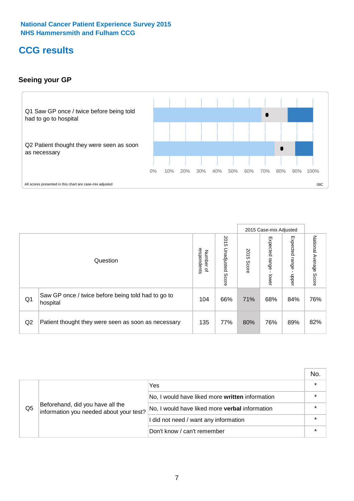# **CCG results**

### **Seeing your GP**



|    |                                                                |                                         |                             |               | 2015 Case-mix Adjusted     |                            |                           |
|----|----------------------------------------------------------------|-----------------------------------------|-----------------------------|---------------|----------------------------|----------------------------|---------------------------|
|    | Question                                                       | respondents<br>Number<br>$\overline{a}$ | 2015<br>Unadjusted<br>Score | 2015<br>Score | Expected<br>range<br>lower | Expected<br>range<br>dpper | National Average<br>Score |
| Q1 | Saw GP once / twice before being told had to go to<br>hospital | 104                                     | 66%                         | 71%           | 68%                        | 84%                        | 76%                       |
| Q2 | Patient thought they were seen as soon as necessary            | 135                                     | 77%                         | 80%           | 76%                        | 89%                        | 82%                       |

|    |                                                                             |                                                 | No. |
|----|-----------------------------------------------------------------------------|-------------------------------------------------|-----|
|    | Beforehand, did you have all the<br>information you needed about your test? | Yes                                             |     |
|    |                                                                             | No, I would have liked more written information |     |
| Q5 |                                                                             | No, I would have liked more verbal information  |     |
|    |                                                                             | I did not need / want any information           |     |
|    |                                                                             | Don't know / can't remember                     |     |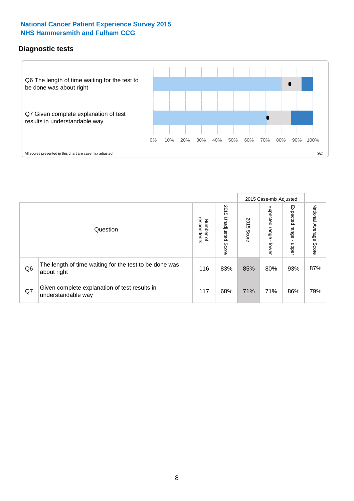### **Diagnostic tests**



|                |                                                                       |                          |                             |               | 2015 Case-mix Adjusted  |                         |                        |
|----------------|-----------------------------------------------------------------------|--------------------------|-----------------------------|---------------|-------------------------|-------------------------|------------------------|
|                | Question                                                              | Number of<br>respondents | 2015<br>Unadjusted<br>Score | 2015<br>Score | Expected range<br>lower | Expected range<br>nbber | National Average Score |
| Q <sub>6</sub> | The length of time waiting for the test to be done was<br>about right | 116                      | 83%                         | 85%           | 80%                     | 93%                     | 87%                    |
| Q7             | Given complete explanation of test results in<br>understandable way   | 117                      | 68%                         | 71%           | 71%                     | 86%                     | 79%                    |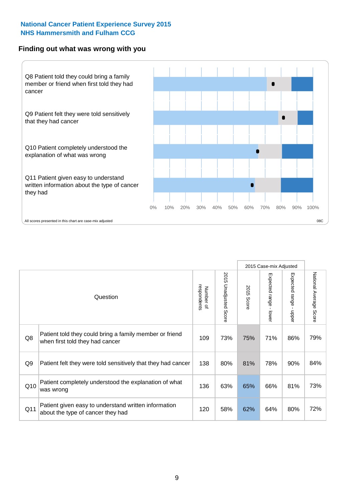#### **Finding out what was wrong with you**



|                |                                                                                            |                          |                          |               | 2015 Case-mix Adjusted |                                         |                           |
|----------------|--------------------------------------------------------------------------------------------|--------------------------|--------------------------|---------------|------------------------|-----------------------------------------|---------------------------|
|                | Question                                                                                   | respondents<br>Number of | 2015 Unadjusted<br>Score | 2015<br>Score | Expected range - lower | Expected range<br>$\mathbf{r}$<br>nbber | National Average<br>Score |
| Q8             | Patient told they could bring a family member or friend<br>when first told they had cancer | 109                      | 73%                      | 75%           | 71%                    | 86%                                     | 79%                       |
| Q <sub>9</sub> | Patient felt they were told sensitively that they had cancer                               | 138                      | 80%                      | 81%           | 78%                    | 90%                                     | 84%                       |
| Q10            | Patient completely understood the explanation of what<br>was wrong                         | 136                      | 63%                      | 65%           | 66%                    | 81%                                     | 73%                       |
| Q11            | Patient given easy to understand written information<br>about the type of cancer they had  | 120                      | 58%                      | 62%           | 64%                    | 80%                                     | 72%                       |
|                |                                                                                            |                          |                          |               |                        |                                         |                           |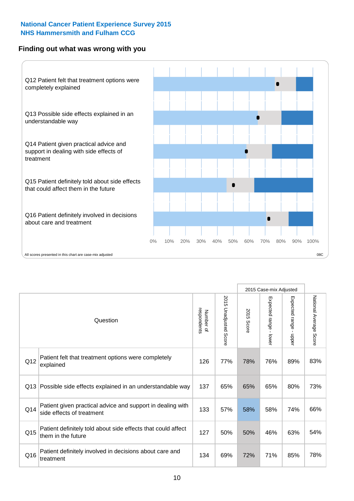### **Finding out what was wrong with you**



|     |                                                                                         |                          |                                 |               | 2015 Case-mix Adjusted                  |                           |                        |
|-----|-----------------------------------------------------------------------------------------|--------------------------|---------------------------------|---------------|-----------------------------------------|---------------------------|------------------------|
|     | Question                                                                                | Number of<br>respondents | 2015<br><b>Unadjusted Score</b> | 2015<br>Score | Expected range<br>$\mathbf{r}$<br>lower | Expected range<br>- nbbel | National Average Score |
| Q12 | Patient felt that treatment options were completely<br>explained                        | 126                      | 77%                             | 78%           | 76%                                     | 89%                       | 83%                    |
| Q13 | Possible side effects explained in an understandable way                                | 137                      | 65%                             | 65%           | 65%                                     | 80%                       | 73%                    |
| Q14 | Patient given practical advice and support in dealing with<br>side effects of treatment | 133                      | 57%                             | 58%           | 58%                                     | 74%                       | 66%                    |
| Q15 | Patient definitely told about side effects that could affect<br>them in the future      | 127                      | 50%                             | 50%           | 46%                                     | 63%                       | 54%                    |
| Q16 | Patient definitely involved in decisions about care and<br>treatment                    | 134                      | 69%                             | 72%           | 71%                                     | 85%                       | 78%                    |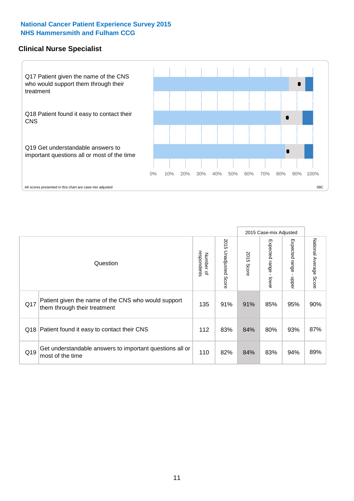### **Clinical Nurse Specialist**



|     |                                                                                     |                          |                       |               | 2015 Case-mix Adjusted  |                         |                                  |
|-----|-------------------------------------------------------------------------------------|--------------------------|-----------------------|---------------|-------------------------|-------------------------|----------------------------------|
|     | Question                                                                            | respondents<br>Number of | 2015 Unadjusted Score | 2015<br>Score | Expected range<br>lower | Expected range<br>nbber | National Average<br><b>Score</b> |
| Q17 | Patient given the name of the CNS who would support<br>them through their treatment | 135                      | 91%                   | 91%           | 85%                     | 95%                     | 90%                              |
|     | Q18 Patient found it easy to contact their CNS                                      | 112                      | 83%                   | 84%           | 80%                     | 93%                     | 87%                              |
| Q19 | Get understandable answers to important questions all or<br>most of the time        | 110                      | 82%                   | 84%           | 83%                     | 94%                     | 89%                              |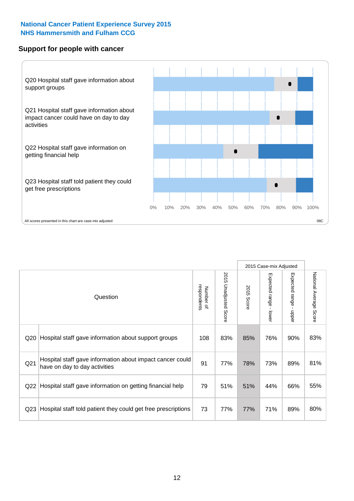### **Support for people with cancer**



|                 |                                                                                            |                          |                             |               | 2015 Case-mix Adjusted  |                                           |                        |
|-----------------|--------------------------------------------------------------------------------------------|--------------------------|-----------------------------|---------------|-------------------------|-------------------------------------------|------------------------|
|                 | Question                                                                                   | respondents<br>Number of | 2015<br>Unadjusted<br>Score | 2015<br>Score | Expected range<br>lower | Expected range<br>$\blacksquare$<br>nbber | National Average Score |
| Q20             | Hospital staff gave information about support groups                                       | 108                      | 83%                         | 85%           | 76%                     | 90%                                       | 83%                    |
| Q <sub>21</sub> | Hospital staff gave information about impact cancer could<br>have on day to day activities | 91                       | 77%                         | 78%           | 73%                     | 89%                                       | 81%                    |
| Q22             | Hospital staff gave information on getting financial help                                  | 79                       | 51%                         | 51%           | 44%                     | 66%                                       | 55%                    |
| Q <sub>23</sub> | Hospital staff told patient they could get free prescriptions                              | 73                       | 77%                         | 77%           | 71%                     | 89%                                       | 80%                    |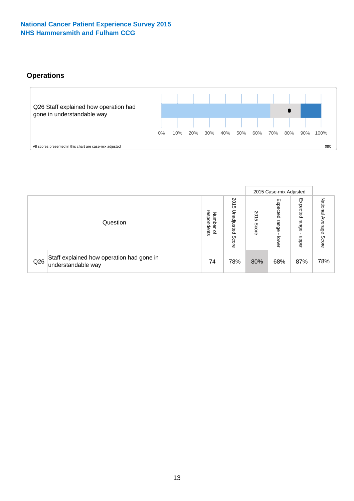### **Operations**



|     |                                                                 |                                         |                             |               | 2015 Case-mix Adjusted     |                           |                              |
|-----|-----------------------------------------------------------------|-----------------------------------------|-----------------------------|---------------|----------------------------|---------------------------|------------------------------|
|     | Question                                                        | respondents<br>Number<br>$\overline{a}$ | 2015<br>Unadjusted<br>Score | 2015<br>Score | Expected<br>range<br>lower | Expected<br>range<br>ddoe | National<br>Average<br>Score |
| Q26 | Staff explained how operation had gone in<br>understandable way | 74                                      | 78%                         | 80%           | 68%                        | 87%                       | 78%                          |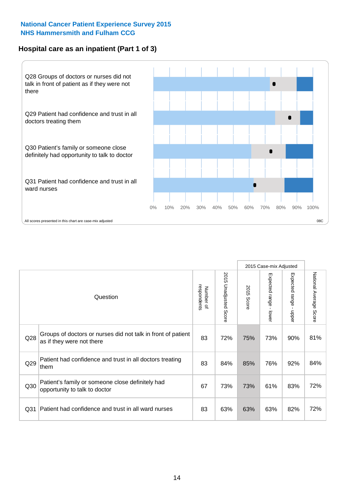### **Hospital care as an inpatient (Part 1 of 3)**



All scores presented in this chart are case-mix adjusted  $08C$ 

|                 |                                                                                           |                          |                          |                      | 2015 Case-mix Adjusted                    |                                       |                        |
|-----------------|-------------------------------------------------------------------------------------------|--------------------------|--------------------------|----------------------|-------------------------------------------|---------------------------------------|------------------------|
|                 | Question                                                                                  | respondents<br>Number of | 2015<br>Unadjusted Score | 2015<br><b>Score</b> | Expected range<br>$\blacksquare$<br>lower | Expected range<br>$\mathbf{I}$<br>ddo | National Average Score |
| Q28             | Groups of doctors or nurses did not talk in front of patient<br>as if they were not there | 83                       | 72%                      | 75%                  | 73%                                       | 90%                                   | 81%                    |
| Q29             | Patient had confidence and trust in all doctors treating<br>them                          | 83                       | 84%                      | 85%                  | 76%                                       | 92%                                   | 84%                    |
| Q30             | Patient's family or someone close definitely had<br>opportunity to talk to doctor         | 67                       | 73%                      | 73%                  | 61%                                       | 83%                                   | 72%                    |
| Q <sub>31</sub> | Patient had confidence and trust in all ward nurses                                       | 83                       | 63%                      | 63%                  | 63%                                       | 82%                                   | 72%                    |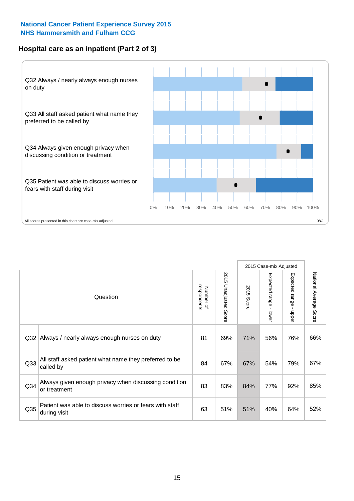### **Hospital care as an inpatient (Part 2 of 3)**



|                 |                                                                         |                          |                                 |               | 2015 Case-mix Adjusted                    |                        |                        |
|-----------------|-------------------------------------------------------------------------|--------------------------|---------------------------------|---------------|-------------------------------------------|------------------------|------------------------|
|                 | Question                                                                | respondents<br>Number of | 2015<br><b>Unadjusted Score</b> | 2015<br>Score | Expected range<br>$\blacksquare$<br>lower | Expected range - upper | National Average Score |
| Q <sub>32</sub> | Always / nearly always enough nurses on duty                            | 81                       | 69%                             | 71%           | 56%                                       | 76%                    | 66%                    |
| Q <sub>33</sub> | All staff asked patient what name they preferred to be<br>called by     | 84                       | 67%                             | 67%           | 54%                                       | 79%                    | 67%                    |
| Q <sub>34</sub> | Always given enough privacy when discussing condition<br>or treatment   | 83                       | 83%                             | 84%           | 77%                                       | 92%                    | 85%                    |
| Q35             | Patient was able to discuss worries or fears with staff<br>during visit | 63                       | 51%                             | 51%           | 40%                                       | 64%                    | 52%                    |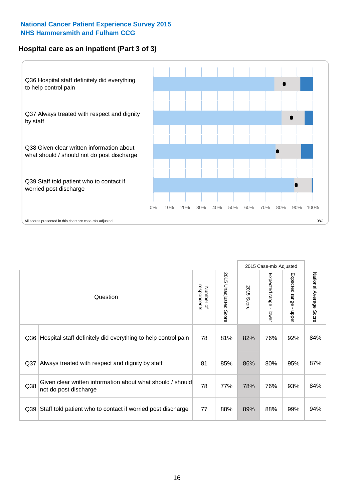### **Hospital care as an inpatient (Part 3 of 3)**



|                 |                                                                                     |                          |                       |               | 2015 Case-mix Adjusted                    |                           |                        |
|-----------------|-------------------------------------------------------------------------------------|--------------------------|-----------------------|---------------|-------------------------------------------|---------------------------|------------------------|
|                 | Question                                                                            | respondents<br>Number of | 2015 Unadjusted Score | 2015<br>Score | Expected range<br>$\blacksquare$<br>lower | Expected range -<br>nbber | National Average Score |
| Q36             | Hospital staff definitely did everything to help control pain                       | 78                       | 81%                   | 82%           | 76%                                       | 92%                       | 84%                    |
| Q <sub>37</sub> | Always treated with respect and dignity by staff                                    | 81                       | 85%                   | 86%           | 80%                                       | 95%                       | 87%                    |
| Q38             | Given clear written information about what should / should<br>not do post discharge | 78                       | 77%                   | 78%           | 76%                                       | 93%                       | 84%                    |
| Q39             | Staff told patient who to contact if worried post discharge                         | 77                       | 88%                   | 89%           | 88%                                       | 99%                       | 94%                    |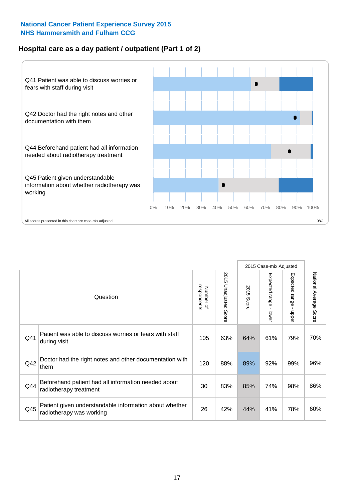### **Hospital care as a day patient / outpatient (Part 1 of 2)**



|     |                                                                                    |                          |                          |               | 2015 Case-mix Adjusted                  |                                           |                        |
|-----|------------------------------------------------------------------------------------|--------------------------|--------------------------|---------------|-----------------------------------------|-------------------------------------------|------------------------|
|     | Question                                                                           | respondents<br>Number of | 2015<br>Unadjusted Score | 2015<br>Score | Expected range<br>$\mathbf{r}$<br>lower | Expected range<br>$\blacksquare$<br>nbber | National Average Score |
| Q41 | Patient was able to discuss worries or fears with staff<br>during visit            | 105                      | 63%                      | 64%           | 61%                                     | 79%                                       | 70%                    |
| Q42 | Doctor had the right notes and other documentation with<br>them                    | 120                      | 88%                      | 89%           | 92%                                     | 99%                                       | 96%                    |
| Q44 | Beforehand patient had all information needed about<br>radiotherapy treatment      | 30                       | 83%                      | 85%           | 74%                                     | 98%                                       | 86%                    |
| Q45 | Patient given understandable information about whether<br>radiotherapy was working | 26                       | 42%                      | 44%           | 41%                                     | 78%                                       | 60%                    |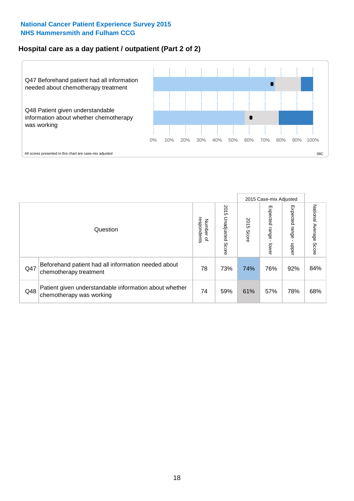## **Hospital care as a day patient / outpatient (Part 2 of 2)**



|     |                                                                                    |                                       |                             |               | 2015 Case-mix Adjusted       |                         |                           |
|-----|------------------------------------------------------------------------------------|---------------------------------------|-----------------------------|---------------|------------------------------|-------------------------|---------------------------|
|     | Question                                                                           | respondents<br>Number<br>$\mathbf{Q}$ | 2015<br>Unadjusted<br>Score | 2015<br>Score | Expected<br>I range<br>lower | Expected range<br>nbber | National Average<br>Score |
| Q47 | Beforehand patient had all information needed about<br>chemotherapy treatment      | 78                                    | 73%                         | 74%           | 76%                          | 92%                     | 84%                       |
| Q48 | Patient given understandable information about whether<br>chemotherapy was working | 74                                    | 59%                         | 61%           | 57%                          | 78%                     | 68%                       |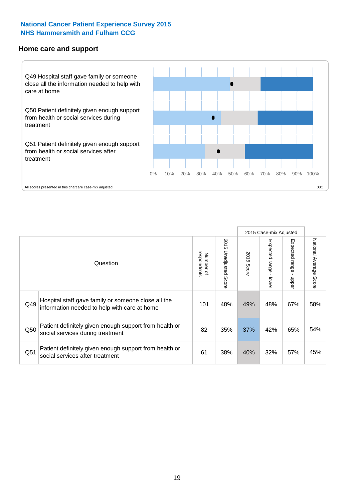#### **Home care and support**



2015 Case-mix Adjusted 2015 Unadjusted Score Expected range - upper National Average Score 2015 Unadjusted Score Expected range - lower National Average Score Expected range - lower Expected range - upper Number of<br>respondents respondents 2015 Score 2015 Score Number of Question Hospital staff gave family or someone close all the  $Q49$  information needed to help with care at home  $Q49$  are  $Q49\%$  and  $Q49\%$  and  $Q48\%$  67% 58% Patient definitely given enough support from health or  $\frac{1}{250}$  social services during treatment  $\frac{1}{25\%}$   $\frac{1}{25\%}$   $\frac{37\%}{37\%}$   $\frac{42\%}{65\%}$  54% Patient definitely given enough support from health or  $\frac{1}{2}$   $\frac{1}{2}$  social services after treatment  $\frac{1}{2}$  61  $\frac{1}{38\%}$  40% 32% 57% 45%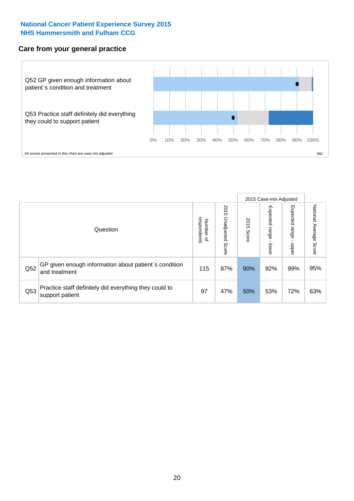### **Care from your general practice**



|     |                                                                           |                                   |                             |               |                             | 2015 Case-mix Adjusted     |                           |
|-----|---------------------------------------------------------------------------|-----------------------------------|-----------------------------|---------------|-----------------------------|----------------------------|---------------------------|
|     | Question                                                                  | respondents<br>Number<br>$\Omega$ | 2015<br>Unadjusted<br>Score | 2015<br>Score | Expected<br> range<br>lower | Expected<br>range<br>nbber | National Average<br>Score |
| Q52 | GP given enough information about patient's condition<br>and treatment    | 115                               | 87%                         | 90%           | 92%                         | 99%                        | 95%                       |
| Q53 | Practice staff definitely did everything they could to<br>support patient | 97                                | 47%                         | 50%           | 53%                         | 72%                        | 63%                       |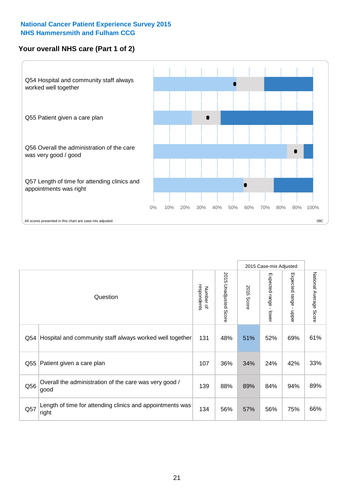### **Your overall NHS care (Part 1 of 2)**



|     |                                                                    |                          |                       |                      | 2015 Case-mix Adjusted                    |                                           |                        |
|-----|--------------------------------------------------------------------|--------------------------|-----------------------|----------------------|-------------------------------------------|-------------------------------------------|------------------------|
|     | Question                                                           | respondents<br>Number of | 2015 Unadjusted Score | 2015<br><b>Score</b> | Expected range<br>$\blacksquare$<br>lower | Expected range<br>$\blacksquare$<br>nbber | National Average Score |
| Q54 | Hospital and community staff always worked well together           | 131                      | 48%                   | 51%                  | 52%                                       | 69%                                       | 61%                    |
| Q55 | Patient given a care plan                                          | 107                      | 36%                   | 34%                  | 24%                                       | 42%                                       | 33%                    |
| Q56 | Overall the administration of the care was very good /<br>good     | 139                      | 88%                   | 89%                  | 84%                                       | 94%                                       | 89%                    |
| Q57 | Length of time for attending clinics and appointments was<br>right | 134                      | 56%                   | 57%                  | 56%                                       | 75%                                       | 66%                    |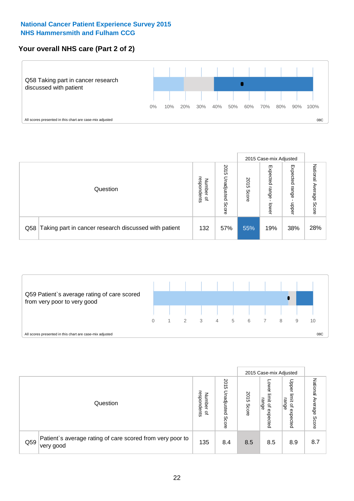### **Your overall NHS care (Part 2 of 2)**



|     |                                                       |                                              |                             |               | 2015 Case-mix Adjusted     |                            |                        |
|-----|-------------------------------------------------------|----------------------------------------------|-----------------------------|---------------|----------------------------|----------------------------|------------------------|
|     | Question                                              | respondents<br>Number<br>$\overline{\sigma}$ | 2015<br>Unadjusted<br>Score | 2015<br>Score | Expected<br>range<br>lower | Expected<br>range<br>doper | National Average Score |
| Q58 | Taking part in cancer research discussed with patient | 132                                          | 57%                         | 55%           | 19%                        | 38%                        | 28%                    |



|     |                                                                        |                                              |                             |               |                                                    | 2015 Case-mix Adjusted                                |                                     |
|-----|------------------------------------------------------------------------|----------------------------------------------|-----------------------------|---------------|----------------------------------------------------|-------------------------------------------------------|-------------------------------------|
|     | Question                                                               | respondents<br>Number<br>$\overline{\sigma}$ | 2015<br>Unadjusted<br>Score | 2015<br>Score | OWer<br>limit<br>range<br>$\mathbf{a}$<br>expected | Upper<br>limit<br>range<br>$\overline{a}$<br>expected | National<br>Average<br><b>Score</b> |
| Q59 | Patient's average rating of care scored from very poor to<br>very good | 135                                          | 8.4                         | 8.5           | 8.5                                                | 8.9                                                   | 8.7                                 |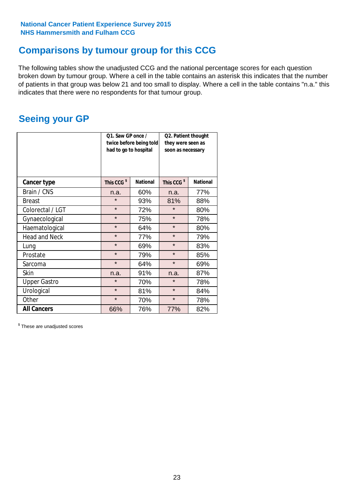# **Comparisons by tumour group for this CCG**

The following tables show the unadjusted CCG and the national percentage scores for each question broken down by tumour group. Where a cell in the table contains an asterisk this indicates that the number of patients in that group was below 21 and too small to display. Where a cell in the table contains "n.a." this indicates that there were no respondents for that tumour group.

# **Seeing your GP**

|                      | Q1. Saw GP once /<br>had to go to hospital | twice before being told | Q2. Patient thought<br>they were seen as<br>soon as necessary |                 |  |
|----------------------|--------------------------------------------|-------------------------|---------------------------------------------------------------|-----------------|--|
| <b>Cancer type</b>   | This CCG <sup>\$</sup>                     | <b>National</b>         | This CCG <sup>\$</sup>                                        | <b>National</b> |  |
| Brain / CNS          | n.a.                                       | 60%                     | n.a.                                                          | 77%             |  |
| <b>Breast</b>        | $\star$                                    | 93%                     | 81%                                                           | 88%             |  |
| Colorectal / LGT     | $\star$                                    | 72%                     | $\star$                                                       | 80%             |  |
| Gynaecological       | $\star$                                    | 75%                     | $\star$                                                       | 78%             |  |
| Haematological       | $\star$                                    | 64%                     | $\star$                                                       | 80%             |  |
| <b>Head and Neck</b> | $\star$                                    | 77%                     | $\star$                                                       | 79%             |  |
| Lung                 | $\star$                                    | 69%                     | $\star$                                                       | 83%             |  |
| Prostate             | $\star$                                    | 79%                     | $\star$                                                       | 85%             |  |
| Sarcoma              | $\star$                                    | 64%                     | $\star$                                                       | 69%             |  |
| Skin                 | n.a.                                       | 91%                     | n.a.                                                          | 87%             |  |
| <b>Upper Gastro</b>  | $\star$                                    | 70%                     | $\star$                                                       | 78%             |  |
| Urological           | $\star$                                    | 81%                     | $\star$                                                       | 84%             |  |
| Other                | $\star$                                    | 70%                     | $\star$                                                       | 78%             |  |
| <b>All Cancers</b>   | 66%                                        | 76%                     | 77%                                                           | 82%             |  |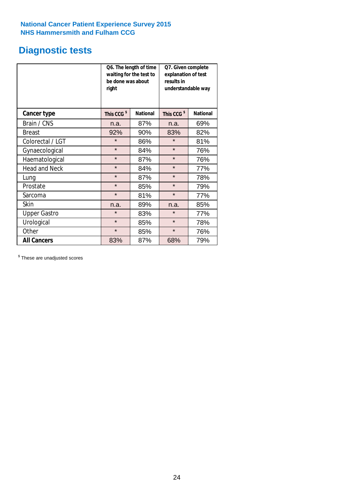# **Diagnostic tests**

|                      | be done was about<br>right | Q6. The length of time<br>waiting for the test to | Q7. Given complete<br>explanation of test<br>results in<br>understandable way |                 |  |
|----------------------|----------------------------|---------------------------------------------------|-------------------------------------------------------------------------------|-----------------|--|
| <b>Cancer type</b>   | This CCG <sup>\$</sup>     | <b>National</b>                                   | This CCG <sup>\$</sup>                                                        | <b>National</b> |  |
| Brain / CNS          | n.a.                       | 87%                                               | n.a.                                                                          | 69%             |  |
| <b>Breast</b>        | 92%                        | 90%                                               | 83%                                                                           | 82%             |  |
| Colorectal / LGT     | $\star$                    | 86%                                               | $\star$                                                                       | 81%             |  |
| Gynaecological       | $\star$                    | 84%                                               | $\star$                                                                       | 76%             |  |
| Haematological       | $\star$                    | 87%                                               | $\star$                                                                       | 76%             |  |
| <b>Head and Neck</b> | $\star$                    | 84%                                               | $\star$                                                                       | 77%             |  |
| Lung                 | $\star$                    | 87%                                               | $\star$                                                                       | 78%             |  |
| Prostate             | $\star$                    | 85%                                               | $\star$                                                                       | 79%             |  |
| Sarcoma              | $\star$                    | 81%                                               | $\star$                                                                       | 77%             |  |
| Skin                 | n.a.                       | 89%                                               | n.a.                                                                          | 85%             |  |
| <b>Upper Gastro</b>  | $\star$                    | 83%                                               | $\star$                                                                       | 77%             |  |
| Urological           | $\star$                    | 85%                                               | $\star$                                                                       | 78%             |  |
| Other                | $\star$<br>85%             |                                                   | $\star$                                                                       | 76%             |  |
| <b>All Cancers</b>   | 83%                        | 87%                                               | 68%                                                                           | 79%             |  |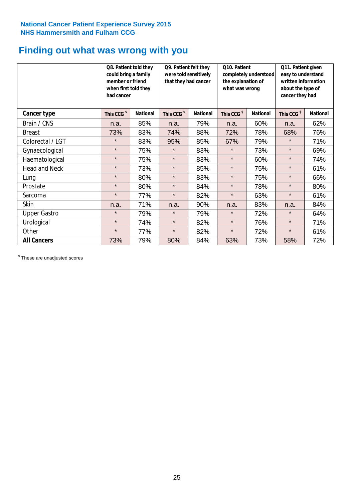# **Finding out what was wrong with you**

|                      | Q8. Patient told they<br>could bring a family<br>member or friend<br>when first told they<br>had cancer |                 | Q9. Patient felt they<br>were told sensitively<br>that they had cancer |                 | Q10. Patient<br>completely understood<br>the explanation of<br>what was wrong |                 | Q11. Patient given<br>easy to understand<br>written information<br>about the type of<br>cancer they had |                 |
|----------------------|---------------------------------------------------------------------------------------------------------|-----------------|------------------------------------------------------------------------|-----------------|-------------------------------------------------------------------------------|-----------------|---------------------------------------------------------------------------------------------------------|-----------------|
| Cancer type          | This CCG <sup>\$</sup>                                                                                  | <b>National</b> | This CCG <sup>\$</sup>                                                 | <b>National</b> | This CCG <sup>\$</sup>                                                        | <b>National</b> | This CCG <sup>\$</sup>                                                                                  | <b>National</b> |
| Brain / CNS          | n.a.                                                                                                    | 85%             | n.a.                                                                   | 79%             | n.a.                                                                          | 60%             | n.a.                                                                                                    | 62%             |
| <b>Breast</b>        | 73%                                                                                                     | 83%             | 74%                                                                    | 88%             | 72%                                                                           | 78%             | 68%                                                                                                     | 76%             |
| Colorectal / LGT     | $\star$                                                                                                 | 83%             | 95%                                                                    | 85%             | 67%                                                                           | 79%             | $\star$                                                                                                 | 71%             |
| Gynaecological       | $\star$                                                                                                 | 75%             | $\star$                                                                | 83%             | $\star$                                                                       | 73%             | $\star$                                                                                                 | 69%             |
| Haematological       | $\star$                                                                                                 | 75%             | $\star$                                                                | 83%             | $\star$                                                                       | 60%             | $\star$                                                                                                 | 74%             |
| <b>Head and Neck</b> | $\star$                                                                                                 | 73%             | $\star$                                                                | 85%             | $\star$                                                                       | 75%             | $\star$                                                                                                 | 61%             |
| Lung                 | $\star$                                                                                                 | 80%             | $\star$                                                                | 83%             | $\star$                                                                       | 75%             | $\star$                                                                                                 | 66%             |
| Prostate             | $\star$                                                                                                 | 80%             | $\star$                                                                | 84%             | $\star$                                                                       | 78%             | $\star$                                                                                                 | 80%             |
| Sarcoma              | $\star$                                                                                                 | 77%             | $\star$                                                                | 82%             | $\star$                                                                       | 63%             | $\star$                                                                                                 | 61%             |
| Skin                 | n.a.                                                                                                    | 71%             | n.a.                                                                   | 90%             | n.a.                                                                          | 83%             | n.a.                                                                                                    | 84%             |
| <b>Upper Gastro</b>  | $\star$                                                                                                 | 79%             | $\star$                                                                | 79%             | $\star$                                                                       | 72%             | $\star$                                                                                                 | 64%             |
| Urological           | $\star$                                                                                                 | 74%             | $\star$                                                                | 82%             | $\star$                                                                       | 76%             | $\star$                                                                                                 | 71%             |
| Other                | $\star$                                                                                                 | 77%             | $\star$                                                                | 82%             | $\star$                                                                       | 72%             | $\star$                                                                                                 | 61%             |
| <b>All Cancers</b>   | 73%                                                                                                     | 79%             | 80%                                                                    | 84%             | 63%                                                                           | 73%             | 58%                                                                                                     | 72%             |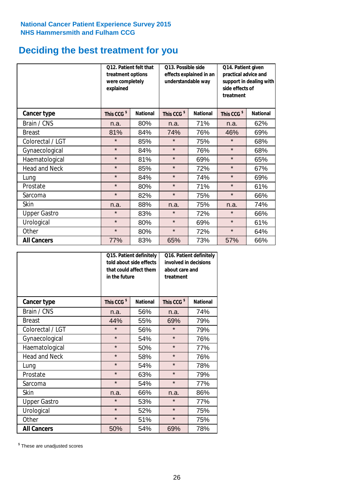# **Deciding the best treatment for you**

|                      | treatment options<br>were completely<br>explained | Q12. Patient felt that | Q13. Possible side<br>understandable way | effects explained in an | Q14. Patient given<br>practical advice and<br>support in dealing with<br>side effects of<br>treatment |                 |  |
|----------------------|---------------------------------------------------|------------------------|------------------------------------------|-------------------------|-------------------------------------------------------------------------------------------------------|-----------------|--|
| <b>Cancer type</b>   | This CCG <sup>\$</sup>                            | <b>National</b>        | This CCG <sup>\$</sup>                   | <b>National</b>         |                                                                                                       | <b>National</b> |  |
| Brain / CNS          | n.a.                                              | 80%                    | n.a.                                     | 71%                     | n.a.                                                                                                  | 62%             |  |
| <b>Breast</b>        | 81%                                               | 84%                    | 74%                                      | 76%                     | 46%                                                                                                   | 69%             |  |
| Colorectal / LGT     | $\star$                                           | 85%                    | $\star$                                  | 75%                     | $\star$                                                                                               | 68%             |  |
| Gynaecological       | $\star$                                           | 84%                    | $\star$                                  | 76%                     | $\star$                                                                                               | 68%             |  |
| Haematological       | $\star$                                           | 81%                    | $\star$                                  | 69%                     | $\star$                                                                                               | 65%             |  |
| <b>Head and Neck</b> | $\star$                                           | 85%                    | $\star$                                  | 72%                     | $\star$                                                                                               | 67%             |  |
| Lung                 | $\star$                                           | 84%                    | $\star$                                  | 74%                     | $\star$                                                                                               | 69%             |  |
| Prostate             | $\star$                                           | 80%                    | $\star$                                  | 71%                     | $\star$                                                                                               | 61%             |  |
| Sarcoma              | $\star$                                           | 82%                    | $\star$                                  | 75%                     | $\star$                                                                                               | 66%             |  |
| Skin                 | n.a.                                              | 88%                    | n.a.                                     | 75%                     | n.a.                                                                                                  | 74%             |  |
| <b>Upper Gastro</b>  | $\star$                                           | 83%                    | $\star$                                  | 72%                     | $\star$                                                                                               | 66%             |  |
| Urological           | $\star$                                           | 80%                    | $\star$                                  | 69%                     | $\star$                                                                                               | 61%             |  |
| Other                | $\star$                                           | 80%                    | $\star$                                  | 72%                     | $\star$                                                                                               | 64%             |  |
| <b>All Cancers</b>   | 77%                                               | 83%                    | 65%                                      | 73%                     | 57%                                                                                                   | 66%             |  |

|                      | in the future          | Q15. Patient definitely<br>told about side effects<br>that could affect them | Q16. Patient definitely<br>involved in decisions<br>about care and<br>treatment |                 |  |
|----------------------|------------------------|------------------------------------------------------------------------------|---------------------------------------------------------------------------------|-----------------|--|
| <b>Cancer type</b>   | This CCG <sup>\$</sup> | <b>National</b>                                                              | This CCG <sup>\$</sup>                                                          | <b>National</b> |  |
| Brain / CNS          | n.a.                   | 56%                                                                          | n.a.                                                                            | 74%             |  |
| <b>Breast</b>        | 44%                    | 55%                                                                          | 69%                                                                             | 79%             |  |
| Colorectal / LGT     | $\star$                | 56%                                                                          | $\star$                                                                         | 79%             |  |
| Gynaecological       | $\star$                | 54%                                                                          | $\star$                                                                         | 76%             |  |
| Haematological       | $\star$<br>50%         |                                                                              | $\star$                                                                         | 77%             |  |
| <b>Head and Neck</b> | $\star$                | 58%                                                                          | $\star$                                                                         | 76%             |  |
| Lung                 | $\star$                | 54%                                                                          | $\star$                                                                         | 78%             |  |
| Prostate             | $\star$                | 63%                                                                          | $\star$                                                                         | 79%             |  |
| Sarcoma              | $\star$                | 54%                                                                          | $\star$                                                                         | 77%             |  |
| <b>Skin</b>          | n.a.                   | 66%                                                                          | n.a.                                                                            | 86%             |  |
| <b>Upper Gastro</b>  | $\star$                | 53%                                                                          | $\star$                                                                         | 77%             |  |
| Urological           | $\star$                | 52%                                                                          | $\star$                                                                         | 75%             |  |
| Other                | $\star$                | 51%                                                                          | $\star$                                                                         | 75%             |  |
| <b>All Cancers</b>   | 50%                    | 54%                                                                          | 69%                                                                             | 78%             |  |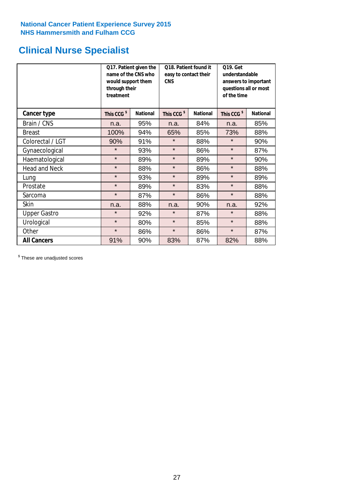# **Clinical Nurse Specialist**

|                      | would support them<br>through their<br>treatment | Q17. Patient given the<br>name of the CNS who | Q18. Patient found it<br>easy to contact their<br><b>CNS</b> |                 | <b>Q19. Get</b><br>understandable<br>answers to important<br>questions all or most<br>of the time |                 |  |
|----------------------|--------------------------------------------------|-----------------------------------------------|--------------------------------------------------------------|-----------------|---------------------------------------------------------------------------------------------------|-----------------|--|
| Cancer type          | This CCG <sup>\$</sup>                           | <b>National</b>                               | This CCG <sup>\$</sup>                                       | <b>National</b> | This CCG <sup>\$</sup>                                                                            | <b>National</b> |  |
| Brain / CNS          | n.a.                                             | 95%                                           | n.a.                                                         | 84%             | n.a.                                                                                              | 85%             |  |
| <b>Breast</b>        | 100%                                             | 94%                                           | 65%                                                          | 85%             | 73%                                                                                               | 88%             |  |
| Colorectal / LGT     | 90%                                              | 91%                                           | $\star$                                                      | 88%             | $\star$                                                                                           | 90%             |  |
| Gynaecological       | $\star$                                          | 93%                                           | $\star$                                                      | 86%             | $\star$                                                                                           | 87%             |  |
| Haematological       | $\star$                                          | 89%                                           | $\star$                                                      | 89%             | $\star$                                                                                           | 90%             |  |
| <b>Head and Neck</b> | $\star$                                          | 88%                                           | $\star$                                                      | 86%             | $\star$                                                                                           | 88%             |  |
| Lung                 | $\star$                                          | 93%                                           | $\star$                                                      | 89%             | $\star$                                                                                           | 89%             |  |
| Prostate             | $\star$                                          | 89%                                           | $\star$                                                      | 83%             | $\star$                                                                                           | 88%             |  |
| Sarcoma              | $\star$                                          | 87%                                           | $\star$                                                      | 86%             | $\star$                                                                                           | 88%             |  |
| Skin                 | n.a.                                             | 88%                                           | n.a.                                                         | 90%             | n.a.                                                                                              | 92%             |  |
| <b>Upper Gastro</b>  | $\star$                                          | 92%                                           | $\star$                                                      | 87%             | $\star$                                                                                           | 88%             |  |
| Urological           | $\star$                                          | 80%                                           | $\star$                                                      | 85%             | $\star$                                                                                           | 88%             |  |
| Other                | $\star$                                          | 86%                                           | $\star$                                                      | 86%             | $\star$                                                                                           | 87%             |  |
| <b>All Cancers</b>   | 91%                                              | 90%                                           | 83%                                                          | 87%             | 82%                                                                                               | 88%             |  |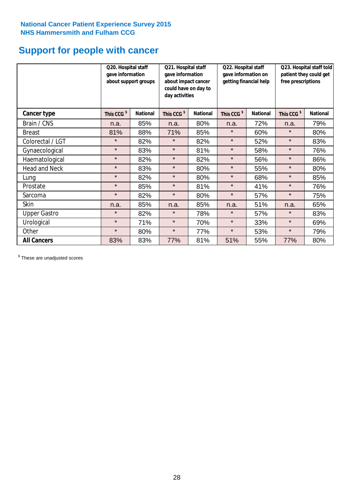# **Support for people with cancer**

|                      | Q20. Hospital staff<br>gave information<br>about support groups |                 |                        | Q21. Hospital staff<br>gave information<br>about impact cancer<br>could have on day to<br>day activities |                        | Q22. Hospital staff<br>gave information on<br>getting financial help |                        | Q23. Hospital staff told<br>patient they could get<br>free prescriptions |  |
|----------------------|-----------------------------------------------------------------|-----------------|------------------------|----------------------------------------------------------------------------------------------------------|------------------------|----------------------------------------------------------------------|------------------------|--------------------------------------------------------------------------|--|
| <b>Cancer type</b>   | This CCG <sup>\$</sup>                                          | <b>National</b> | This CCG <sup>\$</sup> | <b>National</b>                                                                                          | This CCG <sup>\$</sup> | <b>National</b>                                                      | This CCG <sup>\$</sup> | <b>National</b>                                                          |  |
| Brain / CNS          | n.a.                                                            | 85%             | n.a.                   | 80%                                                                                                      | n.a.                   | 72%                                                                  | n.a.                   | 79%                                                                      |  |
| <b>Breast</b>        | 81%                                                             | 88%             | 71%                    | 85%                                                                                                      | $\star$                | 60%                                                                  | $\star$                | 80%                                                                      |  |
| Colorectal / LGT     | $\star$                                                         | 82%             | $\star$                | 82%                                                                                                      | $\star$                | 52%                                                                  | $\star$                | 83%                                                                      |  |
| Gynaecological       | $\star$                                                         | 83%             | $\star$                | 81%                                                                                                      | $\star$                | 58%                                                                  | $\star$                | 76%                                                                      |  |
| Haematological       | $\star$                                                         | 82%             | $\star$                | 82%                                                                                                      | $\star$                | 56%                                                                  | $\star$                | 86%                                                                      |  |
| <b>Head and Neck</b> | $\star$                                                         | 83%             | $\star$                | 80%                                                                                                      | $\star$                | 55%                                                                  | $\star$                | 80%                                                                      |  |
| Lung                 | $\star$                                                         | 82%             | $\star$                | 80%                                                                                                      | $\star$                | 68%                                                                  | $\star$                | 85%                                                                      |  |
| Prostate             | $\star$                                                         | 85%             | $\star$                | 81%                                                                                                      | $\star$                | 41%                                                                  | $\star$                | 76%                                                                      |  |
| Sarcoma              | $\star$                                                         | 82%             | $\star$                | 80%                                                                                                      | $\star$                | 57%                                                                  | $\star$                | 75%                                                                      |  |
| Skin                 | n.a.                                                            | 85%             | n.a.                   | 85%                                                                                                      | n.a.                   | 51%                                                                  | n.a.                   | 65%                                                                      |  |
| <b>Upper Gastro</b>  | $\star$                                                         | 82%             | $\star$                | 78%                                                                                                      | $\star$                | 57%                                                                  | $\star$                | 83%                                                                      |  |
| Urological           | $\star$                                                         | 71%             | $\star$                | 70%                                                                                                      | $\star$                | 33%                                                                  | $\star$                | 69%                                                                      |  |
| Other                | $\star$                                                         | 80%             | $\star$                | 77%                                                                                                      | $\star$                | 53%                                                                  | $\star$                | 79%                                                                      |  |
| <b>All Cancers</b>   | 83%                                                             | 83%             | 77%                    | 81%                                                                                                      | 51%                    | 55%                                                                  | 77%                    | 80%                                                                      |  |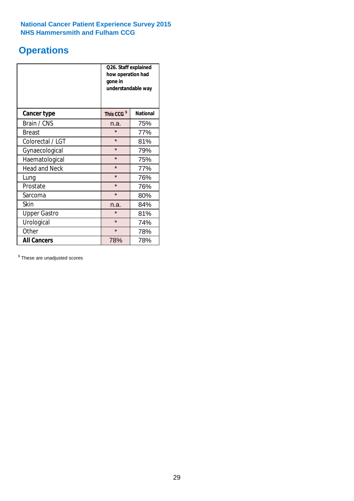# **Operations**

|                      | Q26. Staff explained<br>how operation had<br>gone in<br>understandable way |                 |  |  |  |
|----------------------|----------------------------------------------------------------------------|-----------------|--|--|--|
| <b>Cancer type</b>   | This CCG <sup>\$</sup>                                                     | <b>National</b> |  |  |  |
| Brain / CNS          | n.a.                                                                       | 75%             |  |  |  |
| <b>Breast</b>        | $\star$                                                                    | 77%             |  |  |  |
| Colorectal / LGT     | $\star$                                                                    | 81%             |  |  |  |
| Gynaecological       | $\star$                                                                    | 79%             |  |  |  |
| Haematological       | $\star$                                                                    | 75%             |  |  |  |
| <b>Head and Neck</b> | $\star$                                                                    | 77%             |  |  |  |
| Lung                 | $\star$                                                                    | 76%             |  |  |  |
| Prostate             | $\star$                                                                    | 76%             |  |  |  |
| Sarcoma              | $\star$                                                                    | 80%             |  |  |  |
| Skin                 | n.a.                                                                       | 84%             |  |  |  |
| <b>Upper Gastro</b>  | $\star$                                                                    | 81%             |  |  |  |
| Urological           | $\star$                                                                    | 74%             |  |  |  |
| Other                | $\star$<br>78%                                                             |                 |  |  |  |
| <b>All Cancers</b>   | 78%                                                                        | 78%             |  |  |  |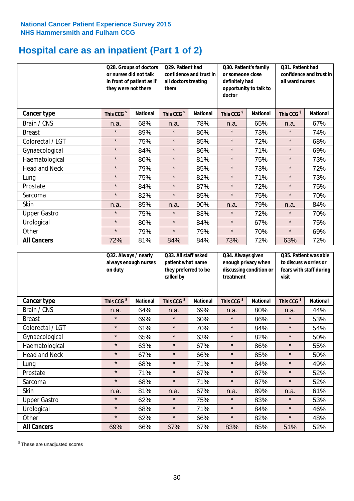# **Hospital care as an inpatient (Part 1 of 2)**

|                      | or nurses did not talk<br>they were not there | Q28. Groups of doctors<br>in front of patient as if | Q29. Patient had<br>confidence and trust in<br>all doctors treating<br>them |                 | Q30. Patient's family<br>or someone close<br>definitely had<br>opportunity to talk to<br>doctor |                 | Q31. Patient had<br>confidence and trust in I<br>all ward nurses |                 |
|----------------------|-----------------------------------------------|-----------------------------------------------------|-----------------------------------------------------------------------------|-----------------|-------------------------------------------------------------------------------------------------|-----------------|------------------------------------------------------------------|-----------------|
| Cancer type          | This CCG <sup>\$</sup>                        | <b>National</b>                                     | This CCG <sup>\$</sup>                                                      | <b>National</b> | This CCG <sup>\$</sup>                                                                          | <b>National</b> | This CCG <sup>\$</sup>                                           | <b>National</b> |
| Brain / CNS          | n.a.                                          | 68%                                                 | n.a.                                                                        | 78%             | n.a.                                                                                            | 65%             | n.a.                                                             | 67%             |
| <b>Breast</b>        | $\star$                                       | 89%                                                 | $\star$                                                                     | 86%             | $\star$                                                                                         | 73%             | $\star$                                                          | 74%             |
| Colorectal / LGT     | $\star$                                       | 75%                                                 | $\star$                                                                     | 85%             | $\star$                                                                                         | 72%             | $\star$                                                          | 68%             |
| Gynaecological       | $\star$                                       | 84%                                                 | $\star$                                                                     | 86%             | $\star$                                                                                         | 71%             | $\star$                                                          | 69%             |
| Haematological       | $\star$                                       | 80%                                                 | $\star$                                                                     | 81%             | $\star$                                                                                         | 75%             | $\star$                                                          | 73%             |
| <b>Head and Neck</b> | $\star$                                       | 79%                                                 | $\star$                                                                     | 85%             | $\star$                                                                                         | 73%             | $\star$                                                          | 72%             |
| Lung                 | $\star$                                       | 75%                                                 | $\star$                                                                     | 82%             | $\star$                                                                                         | 71%             | $\star$                                                          | 73%             |
| Prostate             | $\star$                                       | 84%                                                 | $\star$                                                                     | 87%             | $\star$                                                                                         | 72%             | $\star$                                                          | 75%             |
| Sarcoma              | $\star$                                       | 82%                                                 | $\star$                                                                     | 85%             | $\star$                                                                                         | 75%             | $\star$                                                          | 70%             |
| Skin                 | n.a.                                          | 85%                                                 | n.a.                                                                        | 90%             | n.a.                                                                                            | 79%             | n.a.                                                             | 84%             |
| <b>Upper Gastro</b>  | $\star$                                       | 75%                                                 | $\star$                                                                     | 83%             | $\star$                                                                                         | 72%             | $\star$                                                          | 70%             |
| Urological           | $\star$                                       | 80%                                                 | $\star$                                                                     | 84%             | $\star$                                                                                         | 67%             | $\star$                                                          | 75%             |
| Other                | $\star$                                       | 79%                                                 | $\star$                                                                     | 79%             | $\star$                                                                                         | 70%             | $\star$                                                          | 69%             |
| <b>All Cancers</b>   | 72%                                           | 81%                                                 | 84%                                                                         | 84%             | 73%                                                                                             | 72%             | 63%                                                              | 72%             |

|                      | Q32. Always / nearly<br>always enough nurses<br>on duty |                 | Q33. All staff asked<br>patient what name<br>they preferred to be<br>called by |                 | Q34. Always given<br>enough privacy when<br>discussing condition or<br>treatment |                 | Q35. Patient was able<br>to discuss worries or<br>fears with staff during<br>visit |                 |
|----------------------|---------------------------------------------------------|-----------------|--------------------------------------------------------------------------------|-----------------|----------------------------------------------------------------------------------|-----------------|------------------------------------------------------------------------------------|-----------------|
| <b>Cancer type</b>   | This CCG <sup>\$</sup>                                  | <b>National</b> | This CCG <sup>\$</sup>                                                         | <b>National</b> | This CCG <sup>\$</sup>                                                           | <b>National</b> | This CCG <sup>\$</sup>                                                             | <b>National</b> |
| Brain / CNS          | n.a.                                                    | 64%             | n.a.                                                                           | 69%             | n.a.                                                                             | 80%             | n.a.                                                                               | 44%             |
| <b>Breast</b>        | $\star$                                                 | 69%             | $\star$                                                                        | 60%             | $\star$                                                                          | 86%             | $\star$                                                                            | 53%             |
| Colorectal / LGT     | $\star$                                                 | 61%             | $\star$                                                                        | 70%             | $\star$                                                                          | 84%             | $\star$                                                                            | 54%             |
| Gynaecological       | $\star$                                                 | 65%             | $\star$                                                                        | 63%             | $\star$                                                                          | 82%             | $\star$                                                                            | 50%             |
| Haematological       | $\star$                                                 | 63%             | $\star$                                                                        | 67%             | $\star$                                                                          | 86%             | $\star$                                                                            | 55%             |
| <b>Head and Neck</b> | $\star$                                                 | 67%             | $\star$                                                                        | 66%             | $\star$                                                                          | 85%             | $\star$                                                                            | 50%             |
| Lung                 | $\star$                                                 | 68%             | $\star$                                                                        | 71%             | $\star$                                                                          | 84%             | $\star$                                                                            | 49%             |
| Prostate             | $\star$                                                 | 71%             | $\star$                                                                        | 67%             | $\star$                                                                          | 87%             | $\star$                                                                            | 52%             |
| Sarcoma              | $\star$                                                 | 68%             | $\star$                                                                        | 71%             | $\star$                                                                          | 87%             | $\star$                                                                            | 52%             |
| Skin                 | n.a.                                                    | 81%             | n.a.                                                                           | 67%             | n.a.                                                                             | 89%             | n.a.                                                                               | 61%             |
| <b>Upper Gastro</b>  | $\star$                                                 | 62%             | $\star$                                                                        | 75%             | $\star$                                                                          | 83%             | $\star$                                                                            | 53%             |
| Urological           | $\star$                                                 | 68%             | $\star$                                                                        | 71%             | $\star$                                                                          | 84%             | $\star$                                                                            | 46%             |
| Other                | $\star$                                                 | 62%             | $\star$                                                                        | 66%             | $\star$                                                                          | 82%             | $\star$                                                                            | 48%             |
| <b>All Cancers</b>   | 69%                                                     | 66%             | 67%                                                                            | 67%             | 83%                                                                              | 85%             | 51%                                                                                | 52%             |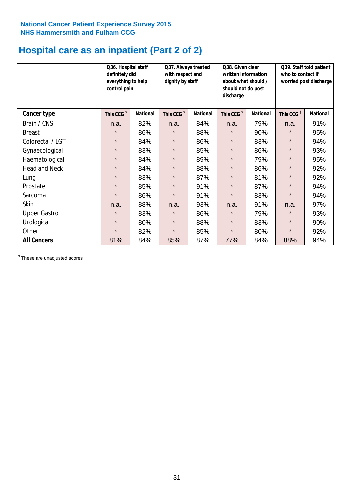# **Hospital care as an inpatient (Part 2 of 2)**

|                      | Q36. Hospital staff<br>definitely did<br>everything to help<br>control pain |                 | Q37. Always treated<br>with respect and<br>dignity by staff |                 | Q38. Given clear<br>written information<br>about what should /<br>should not do post<br>discharge |                 | Q39. Staff told patient<br>who to contact if<br>worried post discharge |                 |
|----------------------|-----------------------------------------------------------------------------|-----------------|-------------------------------------------------------------|-----------------|---------------------------------------------------------------------------------------------------|-----------------|------------------------------------------------------------------------|-----------------|
| Cancer type          | This CCG <sup>\$</sup>                                                      | <b>National</b> | This CCG <sup>\$</sup>                                      | <b>National</b> | This CCG <sup>\$</sup>                                                                            | <b>National</b> | This CCG <sup>\$</sup>                                                 | <b>National</b> |
| Brain / CNS          | n.a.                                                                        | 82%             | n.a.                                                        | 84%             | n.a.                                                                                              | 79%             | n.a.                                                                   | 91%             |
| <b>Breast</b>        | $\star$                                                                     | 86%             | $\star$                                                     | 88%             | $\star$                                                                                           | 90%             | $\star$                                                                | 95%             |
| Colorectal / LGT     | $\star$                                                                     | 84%             | $\star$                                                     | 86%             | $\star$                                                                                           | 83%             | $\star$                                                                | 94%             |
| Gynaecological       | $\star$                                                                     | 83%             | $\star$                                                     | 85%             | $\star$                                                                                           | 86%             | $\star$                                                                | 93%             |
| Haematological       | $\star$                                                                     | 84%             | $\star$                                                     | 89%             | $\star$                                                                                           | 79%             | $\star$                                                                | 95%             |
| <b>Head and Neck</b> | $\star$                                                                     | 84%             | $\star$                                                     | 88%             | $\star$                                                                                           | 86%             | $\star$                                                                | 92%             |
| Lung                 | $\star$                                                                     | 83%             | $\star$                                                     | 87%             | $\star$                                                                                           | 81%             | $\star$                                                                | 92%             |
| Prostate             | $\star$                                                                     | 85%             | $\star$                                                     | 91%             | $\star$                                                                                           | 87%             | $\star$                                                                | 94%             |
| Sarcoma              | $\star$                                                                     | 86%             | $\star$                                                     | 91%             | $\star$                                                                                           | 83%             | $\star$                                                                | 94%             |
| Skin                 | n.a.                                                                        | 88%             | n.a.                                                        | 93%             | n.a.                                                                                              | 91%             | n.a.                                                                   | 97%             |
| <b>Upper Gastro</b>  | $\star$                                                                     | 83%             | $\star$                                                     | 86%             | $\star$                                                                                           | 79%             | $\star$                                                                | 93%             |
| Urological           | $\star$                                                                     | 80%             | $\star$                                                     | 88%             | $\star$                                                                                           | 83%             | $\star$                                                                | 90%             |
| Other                | $\star$                                                                     | 82%             | $\star$                                                     | 85%             | $\star$                                                                                           | 80%             | $\star$                                                                | 92%             |
| <b>All Cancers</b>   | 81%                                                                         | 84%             | 85%                                                         | 87%             | 77%                                                                                               | 84%             | 88%                                                                    | 94%             |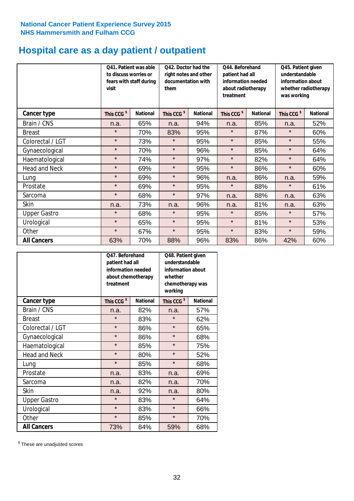# **Hospital care as a day patient / outpatient**

|                      | to discuss worries or<br>visit | Q41. Patient was able<br>fears with staff during | 042. Doctor had the<br>right notes and other<br>documentation with<br>them |                 | Q44. Beforehand<br>patient had all<br>information needed<br>about radiotherapy<br>treatment |                 | Q45. Patient given<br>understandable<br>information about<br>whether radiotherapy<br>was working |                 |
|----------------------|--------------------------------|--------------------------------------------------|----------------------------------------------------------------------------|-----------------|---------------------------------------------------------------------------------------------|-----------------|--------------------------------------------------------------------------------------------------|-----------------|
| Cancer type          | This CCG <sup>\$</sup>         | <b>National</b>                                  | This CCG <sup>\$</sup>                                                     | <b>National</b> | This CCG <sup>\$</sup>                                                                      | <b>National</b> | This CCG <sup>\$</sup>                                                                           | <b>National</b> |
| Brain / CNS          | n.a.                           | 65%                                              | n.a.                                                                       | 94%             | n.a.                                                                                        | 85%             | n.a.                                                                                             | 52%             |
| <b>Breast</b>        | $\star$                        | 70%                                              | 83%                                                                        | 95%             | $\star$                                                                                     | 87%             | $\star$                                                                                          | 60%             |
| Colorectal / LGT     | $\star$                        | 73%                                              | $\star$                                                                    | 95%             | $\star$                                                                                     | 85%             | $\star$                                                                                          | 55%             |
| Gynaecological       | $\star$                        | 70%                                              | $\star$                                                                    | 96%             | $\star$                                                                                     | 85%             | $\star$                                                                                          | 64%             |
| Haematological       | $\star$                        | 74%                                              | $\star$                                                                    | 97%             | $\star$                                                                                     | 82%             | $\star$                                                                                          | 64%             |
| <b>Head and Neck</b> | $\star$                        | 69%                                              | $\star$                                                                    | 95%             | $\star$                                                                                     | 86%             | $\star$                                                                                          | 60%             |
| Lung                 | $\star$                        | 69%                                              | $\star$                                                                    | 96%             | n.a.                                                                                        | 86%             | n.a.                                                                                             | 59%             |
| Prostate             | $\star$                        | 69%                                              | $\star$                                                                    | 95%             | $\star$                                                                                     | 88%             | $\star$                                                                                          | 61%             |
| Sarcoma              | $\star$                        | 68%                                              | $\star$                                                                    | 97%             | n.a.                                                                                        | 88%             | n.a.                                                                                             | 63%             |
| Skin                 | n.a.                           | 73%                                              | n.a.                                                                       | 96%             | n.a.                                                                                        | 81%             | n.a.                                                                                             | 63%             |
| <b>Upper Gastro</b>  | $\star$                        | 68%                                              | $\star$                                                                    | 95%             | $\star$                                                                                     | 85%             | $\star$                                                                                          | 57%             |
| Urological           | $\star$                        | 65%                                              | $\star$                                                                    | 95%             | $\star$                                                                                     | 81%             | $\star$                                                                                          | 53%             |
| Other                | $\star$                        | 67%                                              | $\star$                                                                    | 95%             | $\star$                                                                                     | 83%             | $\star$                                                                                          | 59%             |
| <b>All Cancers</b>   | 63%                            | 70%                                              | 88%                                                                        | 96%             | 83%                                                                                         | 86%             | 42%                                                                                              | 60%             |

|                      | Q47. Beforehand<br>patient had all<br>information needed<br>about chemotherapy<br>treatment |                 | Q48. Patient given<br>understandable<br>information about<br>whether<br>chemotherapy was<br>working |                 |  |
|----------------------|---------------------------------------------------------------------------------------------|-----------------|-----------------------------------------------------------------------------------------------------|-----------------|--|
| <b>Cancer type</b>   | This CCG <sup>\$</sup>                                                                      | <b>National</b> | This CCG <sup>\$</sup>                                                                              | <b>National</b> |  |
| Brain / CNS          | n.a.                                                                                        | 82%             | n.a.                                                                                                | 57%             |  |
| <b>Breast</b>        | $\star$                                                                                     | 83%             | $\star$                                                                                             | 62%             |  |
| Colorectal / LGT     | $\star$                                                                                     | 86%             | $\star$                                                                                             | 65%             |  |
| Gynaecological       | $\star$                                                                                     | 86%             | $\star$                                                                                             | 68%             |  |
| Haematological       | $\star$                                                                                     | 85%             | $\star$                                                                                             | 75%             |  |
| <b>Head and Neck</b> | $\star$                                                                                     | 80%             | $\star$                                                                                             | 52%             |  |
| Lung                 | $\star$                                                                                     | 85%             | $\star$                                                                                             | 68%             |  |
| Prostate             | n.a.                                                                                        | 83%             | n.a.                                                                                                | 69%             |  |
| Sarcoma              | n.a.                                                                                        | 82%             | n.a.                                                                                                | 70%             |  |
| Skin                 | n.a.                                                                                        | 92%             | n.a.                                                                                                | 80%             |  |
| <b>Upper Gastro</b>  | $\star$                                                                                     | 83%             | $\star$                                                                                             | 64%             |  |
| Urological           | $\star$                                                                                     | 83%             | $\star$                                                                                             | 66%             |  |
| Other                | $\star$                                                                                     | 85%             | $\star$                                                                                             | 70%             |  |
| <b>All Cancers</b>   | 73%                                                                                         | 84%             | 59%                                                                                                 | 68%             |  |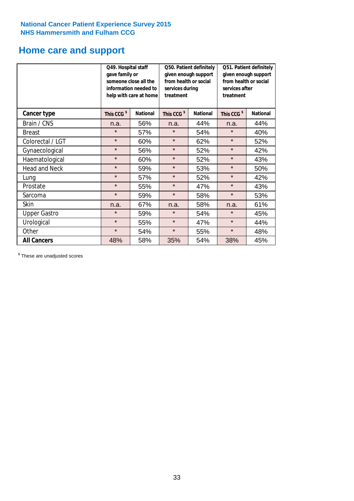# **Home care and support**

|                      | Q49. Hospital staff<br>gave family or | someone close all the<br>information needed to<br>help with care at home | from health or social<br>services during<br>treatment | Q50. Patient definitely<br>given enough support | Q51. Patient definitely<br>given enough support<br>from health or social<br>services after<br>treatment |                 |  |
|----------------------|---------------------------------------|--------------------------------------------------------------------------|-------------------------------------------------------|-------------------------------------------------|---------------------------------------------------------------------------------------------------------|-----------------|--|
| <b>Cancer type</b>   | This CCG <sup>\$</sup>                | <b>National</b><br>This CCG <sup>\$</sup>                                |                                                       | <b>National</b>                                 | This CCG <sup>\$</sup>                                                                                  | <b>National</b> |  |
| Brain / CNS          | n.a.                                  | 56%                                                                      | n.a.                                                  | 44%                                             | n.a.                                                                                                    | 44%             |  |
| <b>Breast</b>        | $\star$                               | 57%                                                                      | $\star$                                               | 54%                                             | $\star$                                                                                                 | 40%             |  |
| Colorectal / LGT     | $\star$                               | 60%                                                                      | $\star$                                               | 62%                                             | $\star$                                                                                                 | 52%             |  |
| Gynaecological       | $\star$                               | 56%                                                                      | $\star$                                               | 52%                                             | $\star$                                                                                                 | 42%             |  |
| Haematological       | $\star$                               | 60%                                                                      | $\star$                                               | 52%                                             | $\star$                                                                                                 | 43%             |  |
| <b>Head and Neck</b> | $\star$                               | 59%                                                                      | $\star$                                               | 53%                                             | $\star$                                                                                                 | 50%             |  |
| Lung                 | $\star$                               | 57%                                                                      | $\star$                                               | 52%                                             | $\star$                                                                                                 | 42%             |  |
| Prostate             | $\star$                               | 55%                                                                      | $\star$                                               | 47%                                             | $\star$                                                                                                 | 43%             |  |
| Sarcoma              | $\star$                               | 59%                                                                      | $\star$                                               | 58%                                             | $\star$                                                                                                 | 53%             |  |
| Skin                 | n.a.                                  | 67%                                                                      | n.a.                                                  | 58%                                             | n.a.                                                                                                    | 61%             |  |
| <b>Upper Gastro</b>  | $\star$                               | 59%                                                                      | $\star$                                               | 54%                                             | $\star$                                                                                                 | 45%             |  |
| Urological           | $\star$                               | 55%                                                                      | $\star$                                               | 47%                                             | $\star$                                                                                                 | 44%             |  |
| Other                | $\star$                               | 54%                                                                      | $\star$                                               | 55%                                             | $\star$                                                                                                 | 48%             |  |
| <b>All Cancers</b>   | 48%                                   | 58%                                                                      | 35%                                                   | 54%                                             | 38%                                                                                                     | 45%             |  |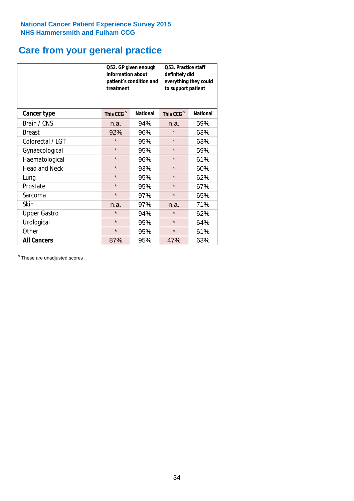# **Care from your general practice**

|                      | information about<br>treatment | Q52. GP given enough<br>patient's condition and | O53. Practice staff<br>definitely did<br>everything they could<br>to support patient |                 |  |
|----------------------|--------------------------------|-------------------------------------------------|--------------------------------------------------------------------------------------|-----------------|--|
| <b>Cancer type</b>   | This CCG <sup>\$</sup>         | <b>National</b>                                 | This CCG <sup>\$</sup>                                                               | <b>National</b> |  |
| Brain / CNS          | n.a.                           | 94%                                             | n.a.                                                                                 | 59%             |  |
| <b>Breast</b>        | 92%                            | 96%                                             | $\star$                                                                              | 63%             |  |
| Colorectal / LGT     | $\star$                        | 95%                                             | $\star$                                                                              | 63%             |  |
| Gynaecological       | $\star$                        | 95%                                             | $\star$                                                                              | 59%             |  |
| Haematological       | $\star$                        | 96%                                             | $\star$                                                                              | 61%             |  |
| <b>Head and Neck</b> | $\star$                        | 93%                                             | $\star$                                                                              | 60%             |  |
| Lung                 | $\star$                        | 95%                                             | $\star$                                                                              | 62%             |  |
| Prostate             | $\star$                        | 95%                                             | $\star$                                                                              | 67%             |  |
| Sarcoma              | $\star$                        | 97%                                             | $\star$                                                                              | 65%             |  |
| Skin                 | n.a.                           | 97%                                             | n.a.                                                                                 | 71%             |  |
| <b>Upper Gastro</b>  | $\star$                        | 94%                                             | $\star$                                                                              | 62%             |  |
| Urological           | $\star$                        | 95%                                             | $\star$                                                                              | 64%             |  |
| Other                | $\star$                        | 95%                                             | $\star$                                                                              | 61%             |  |
| <b>All Cancers</b>   | 87%                            | 95%                                             | 47%                                                                                  | 63%             |  |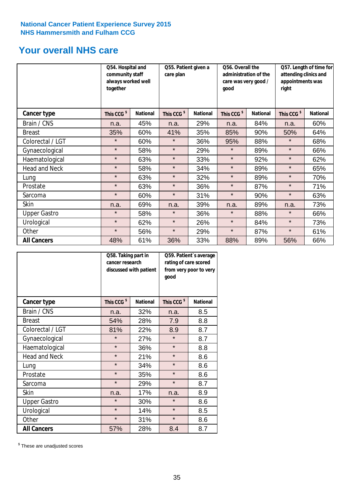# **Your overall NHS care**

|                      | Q54. Hospital and<br>community staff<br>always worked well<br>together |                 | Q55. Patient given a<br>care plan |                 | Q56. Overall the<br>administration of the<br>care was very good /<br>qood |                 | Q57. Length of time for<br>attending clinics and<br>appointments was<br>right |                 |
|----------------------|------------------------------------------------------------------------|-----------------|-----------------------------------|-----------------|---------------------------------------------------------------------------|-----------------|-------------------------------------------------------------------------------|-----------------|
| <b>Cancer type</b>   | This CCG <sup>\$</sup>                                                 | <b>National</b> | This CCG <sup>\$</sup>            | <b>National</b> | This CCG <sup>\$</sup>                                                    | <b>National</b> | This CCG <sup>\$</sup>                                                        | <b>National</b> |
| Brain / CNS          | n.a.                                                                   | 45%             | n.a.                              | 29%             | n.a.                                                                      | 84%             | n.a.                                                                          | 60%             |
| <b>Breast</b>        | 35%                                                                    | 60%             | 41%                               | 35%             | 85%                                                                       | 90%             | 50%                                                                           | 64%             |
| Colorectal / LGT     | $\star$                                                                | 60%             | $\star$                           | 36%             | 95%                                                                       | 88%             | $\star$                                                                       | 68%             |
| Gynaecological       | $\star$                                                                | 58%             | $\star$                           | 29%             | $\star$                                                                   | 89%             | $\star$                                                                       | 66%             |
| Haematological       | $\star$                                                                | 63%             | $\star$                           | 33%             | $\star$                                                                   | 92%             | $\star$                                                                       | 62%             |
| <b>Head and Neck</b> | $\star$                                                                | 58%             | $\star$                           | 34%             | $\star$                                                                   | 89%             | $\star$                                                                       | 65%             |
| Lung                 | $\star$                                                                | 63%             | $\star$                           | 32%             | $\star$                                                                   | 89%             | $\star$                                                                       | 70%             |
| Prostate             | $\star$                                                                | 63%             | $\star$                           | 36%             | $\star$                                                                   | 87%             | $\star$                                                                       | 71%             |
| Sarcoma              | $\star$                                                                | 60%             | $\star$                           | 31%             | $\star$                                                                   | 90%             | $\star$                                                                       | 63%             |
| Skin                 | n.a.                                                                   | 69%             | n.a.                              | 39%             | n.a.                                                                      | 89%             | n.a.                                                                          | 73%             |
| <b>Upper Gastro</b>  | $\star$                                                                | 58%             | $\star$                           | 36%             | $\star$                                                                   | 88%             | $\star$                                                                       | 66%             |
| Urological           | $\star$                                                                | 62%             | $\star$                           | 26%             | $\star$                                                                   | 84%             | $\star$                                                                       | 73%             |
| Other                | $\star$                                                                | 56%             | $\star$                           | 29%             | $\star$                                                                   | 87%             | $\star$                                                                       | 61%             |
| <b>All Cancers</b>   | 48%                                                                    | 61%             | 36%                               | 33%             | 88%                                                                       | 89%             | 56%                                                                           | 66%             |

|                      | Q58. Taking part in<br>cancer research | discussed with patient | Q59. Patient's average<br>rating of care scored<br>from very poor to very<br>good |                 |  |
|----------------------|----------------------------------------|------------------------|-----------------------------------------------------------------------------------|-----------------|--|
| <b>Cancer type</b>   | This CCG <sup>\$</sup>                 | <b>National</b>        | This CCG <sup>\$</sup>                                                            | <b>National</b> |  |
| Brain / CNS          | n.a.                                   | 32%                    | n.a.                                                                              | 8.5             |  |
| <b>Breast</b>        | 54%                                    | 28%                    | 7.9                                                                               | 8.8             |  |
| Colorectal / LGT     | 81%                                    | 22%                    | 8.9                                                                               | 8.7             |  |
| Gynaecological       | $\star$                                | 27%                    | $\star$                                                                           | 8.7             |  |
| Haematological       | $\star$                                | 36%                    | $\star$                                                                           | 8.8             |  |
| <b>Head and Neck</b> | $\star$                                | 21%                    | $\star$                                                                           | 8.6             |  |
| Lung                 | $\star$                                | 34%                    | $\star$                                                                           | 8.6             |  |
| Prostate             | $\star$                                | 35%                    | $\star$                                                                           | 8.6             |  |
| Sarcoma              | $\star$                                | 29%                    | $\star$                                                                           | 8.7             |  |
| <b>Skin</b>          | n.a.                                   | 17%                    | n.a.                                                                              | 8.9             |  |
| <b>Upper Gastro</b>  | $\star$                                | 30%                    | $\star$                                                                           | 8.6             |  |
| Urological           | $\star$                                | 14%                    | $\star$                                                                           | 8.5             |  |
| Other                | $\star$                                | 31%                    | $\star$                                                                           | 8.6             |  |
| <b>All Cancers</b>   | 57%                                    | 28%                    | 8.4                                                                               | 8.7             |  |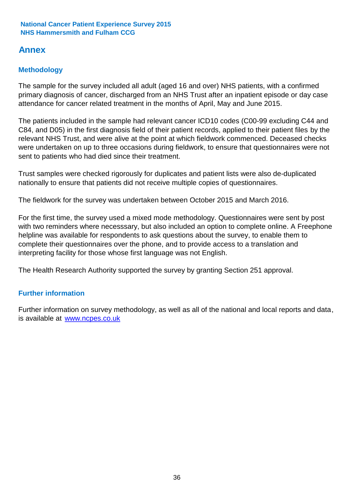# **Annex**

### **Methodology**

The sample for the survey included all adult (aged 16 and over) NHS patients, with a confirmed primary diagnosis of cancer, discharged from an NHS Trust after an inpatient episode or day case attendance for cancer related treatment in the months of April, May and June 2015.

The patients included in the sample had relevant cancer ICD10 codes (C00-99 excluding C44 and C84, and D05) in the first diagnosis field of their patient records, applied to their patient files by the relevant NHS Trust, and were alive at the point at which fieldwork commenced. Deceased checks were undertaken on up to three occasions during fieldwork, to ensure that questionnaires were not sent to patients who had died since their treatment.

Trust samples were checked rigorously for duplicates and patient lists were also de-duplicated nationally to ensure that patients did not receive multiple copies of questionnaires.

The fieldwork for the survey was undertaken between October 2015 and March 2016.

For the first time, the survey used a mixed mode methodology. Questionnaires were sent by post with two reminders where necesssary, but also included an option to complete online. A Freephone helpline was available for respondents to ask questions about the survey, to enable them to complete their questionnaires over the phone, and to provide access to a translation and interpreting facility for those whose first language was not English.

The Health Research Authority supported the survey by granting Section 251 approval.

### **Further information**

Further information on survey methodology, as well as all of the national and local reports and data, is available at www.ncpes.co.uk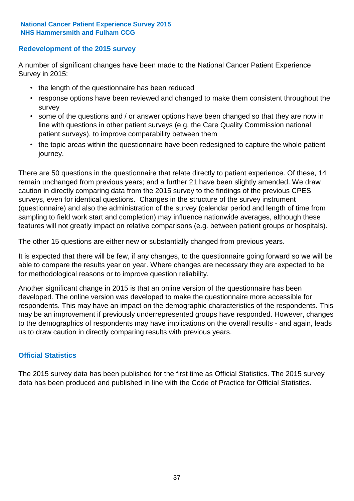### **Redevelopment of the 2015 survey**

A number of significant changes have been made to the National Cancer Patient Experience Survey in 2015:

- the length of the questionnaire has been reduced
- response options have been reviewed and changed to make them consistent throughout the survey
- some of the questions and / or answer options have been changed so that they are now in line with questions in other patient surveys (e.g. the Care Quality Commission national patient surveys), to improve comparability between them
- the topic areas within the questionnaire have been redesigned to capture the whole patient journey.

There are 50 questions in the questionnaire that relate directly to patient experience. Of these, 14 remain unchanged from previous years; and a further 21 have been slightly amended. We draw caution in directly comparing data from the 2015 survey to the findings of the previous CPES surveys, even for identical questions. Changes in the structure of the survey instrument (questionnaire) and also the administration of the survey (calendar period and length of time from sampling to field work start and completion) may influence nationwide averages, although these features will not greatly impact on relative comparisons (e.g. between patient groups or hospitals).

The other 15 questions are either new or substantially changed from previous years.

It is expected that there will be few, if any changes, to the questionnaire going forward so we will be able to compare the results year on year. Where changes are necessary they are expected to be for methodological reasons or to improve question reliability.

Another significant change in 2015 is that an online version of the questionnaire has been developed. The online version was developed to make the questionnaire more accessible for respondents. This may have an impact on the demographic characteristics of the respondents. This may be an improvement if previously underrepresented groups have responded. However, changes to the demographics of respondents may have implications on the overall results - and again, leads us to draw caution in directly comparing results with previous years.

### **Official Statistics**

The 2015 survey data has been published for the first time as Official Statistics. The 2015 survey data has been produced and published in line with the Code of Practice for Official Statistics.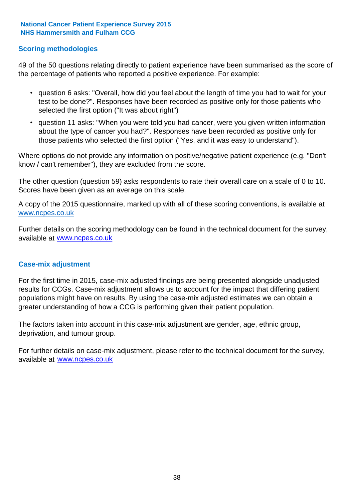### **Scoring methodologies**

49 of the 50 questions relating directly to patient experience have been summarised as the score of the percentage of patients who reported a positive experience. For example:

- question 6 asks: "Overall, how did you feel about the length of time you had to wait for your test to be done?". Responses have been recorded as positive only for those patients who selected the first option ("It was about right")
- question 11 asks: "When you were told you had cancer, were you given written information about the type of cancer you had?". Responses have been recorded as positive only for those patients who selected the first option ("Yes, and it was easy to understand").

Where options do not provide any information on positive/negative patient experience (e.g. "Don't know / can't remember"), they are excluded from the score.

The other question (question 59) asks respondents to rate their overall care on a scale of 0 to 10. Scores have been given as an average on this scale.

A copy of the 2015 questionnaire, marked up with all of these scoring conventions, is available at www.ncpes.co.uk

Further details on the scoring methodology can be found in the technical document for the survey, available at <u>www.ncpes.co.uk</u>

#### **Case-mix adjustment**

For the first time in 2015, case-mix adjusted findings are being presented alongside unadjusted results for CCGs. Case-mix adjustment allows us to account for the impact that differing patient populations might have on results. By using the case-mix adjusted estimates we can obtain a greater understanding of how a CCG is performing given their patient population.

The factors taken into account in this case-mix adjustment are gender, age, ethnic group, deprivation, and tumour group.

For further details on case-mix adjustment, please refer to the technical document for the survey, available at www.ncpes.co.uk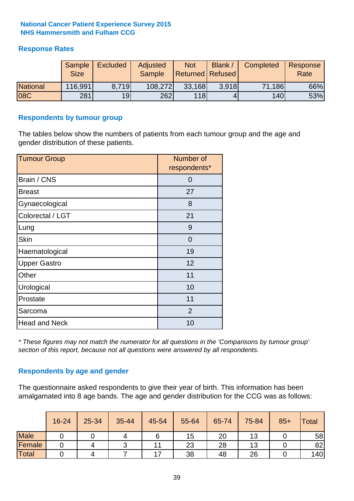### **Response Rates**

|                 | Sample<br><b>Size</b> | <b>Excluded</b> | Adjusted<br><b>Sample</b> | <b>Not</b><br><b>Returned Refused</b> | Blank / | Completed | Response<br>Rate |
|-----------------|-----------------------|-----------------|---------------------------|---------------------------------------|---------|-----------|------------------|
| <b>National</b> | 116,991               | 8.719           | 108,272                   | 33,168                                | 3.918   | 71,186    | 66%              |
| 08C             | 281                   | 19 <sub>l</sub> | 262                       | <b>118</b>                            |         | 140       | 53%              |

#### **Respondents by tumour group**

The tables below show the numbers of patients from each tumour group and the age and gender distribution of these patients.

| <b>Tumour Group</b>  | Number of<br>respondents* |
|----------------------|---------------------------|
| Brain / CNS          | 0                         |
| <b>Breast</b>        | 27                        |
| Gynaecological       | 8                         |
| Colorectal / LGT     | 21                        |
| Lung                 | 9                         |
| <b>Skin</b>          | $\Omega$                  |
| Haematological       | 19                        |
| <b>Upper Gastro</b>  | 12                        |
| Other                | 11                        |
| Urological           | 10                        |
| Prostate             | 11                        |
| Sarcoma              | 2                         |
| <b>Head and Neck</b> | 10                        |

*\* These figures may not match the numerator for all questions in the 'Comparisons by tumour group' section of this report, because not all questions were answered by all respondents.*

### **Respondents by age and gender**

The questionnaire asked respondents to give their year of birth. This information has been amalgamated into 8 age bands. The age and gender distribution for the CCG was as follows:

|             | 16-24 | 25-34 | 35-44 | 45-54 | 55-64 | 65-74 | 75-84 | $85+$ | <b>Total</b> |
|-------------|-------|-------|-------|-------|-------|-------|-------|-------|--------------|
| <b>Male</b> |       |       |       |       | 15    | 20    | 13    |       | 58           |
| Female      |       |       |       |       | 23    | 28    | 13    |       | 82           |
| Total       |       |       |       | –     | 38    | 48    | 26    |       | 140          |